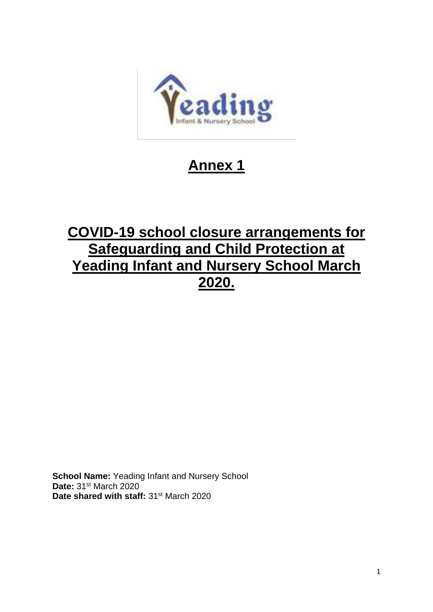

# **Annex 1**

# **COVID-19 school closure arrangements for Safeguarding and Child Protection at Yeading Infant and Nursery School March 2020.**

**School Name:** Yeading Infant and Nursery School **Date:** 31st March 2020 **Date shared with staff:** 31st March 2020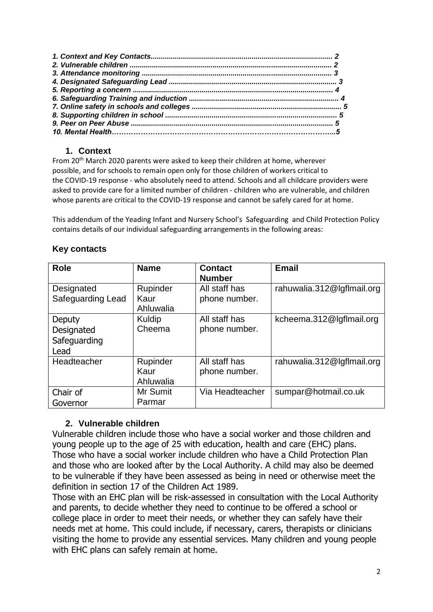### **1. Context**

From 20<sup>th</sup> March 2020 parents were asked to keep their children at home, wherever possible, and for schools to remain open only for those children of workers critical to the COVID-19 response - who absolutely need to attend. Schools and all childcare providers were asked to provide care for a limited number of children - children who are vulnerable, and children whose parents are critical to the COVID-19 response and cannot be safely cared for at home.

This addendum of the Yeading Infant and Nursery School's Safeguarding and Child Protection Policy contains details of our individual safeguarding arrangements in the following areas:

| <b>Role</b>                                  | <b>Name</b>                   | <b>Contact</b><br><b>Number</b> | <b>Email</b>               |
|----------------------------------------------|-------------------------------|---------------------------------|----------------------------|
| Designated<br><b>Safeguarding Lead</b>       | Rupinder<br>Kaur<br>Ahluwalia | All staff has<br>phone number.  | rahuwalia.312@lgflmail.org |
| Deputy<br>Designated<br>Safeguarding<br>Lead | Kuldip<br>Cheema              | All staff has<br>phone number.  | kcheema.312@lgflmail.org   |
| Headteacher                                  | Rupinder<br>Kaur<br>Ahluwalia | All staff has<br>phone number.  | rahuwalia.312@lgflmail.org |
| Chair of<br>Governor                         | Mr Sumit<br>Parmar            | Via Headteacher                 | sumpar@hotmail.co.uk       |

#### **Key contacts**

## **2. Vulnerable children**

Vulnerable children include those who have a social worker and those children and young people up to the age of 25 with education, health and care (EHC) plans. Those who have a social worker include children who have a Child Protection Plan and those who are looked after by the Local Authority. A child may also be deemed to be vulnerable if they have been assessed as being in need or otherwise meet the definition in section 17 of the Children Act 1989.

Those with an EHC plan will be risk-assessed in consultation with the Local Authority and parents, to decide whether they need to continue to be offered a school or college place in order to meet their needs, or whether they can safely have their needs met at home. This could include, if necessary, carers, therapists or clinicians visiting the home to provide any essential services. Many children and young people with EHC plans can safely remain at home.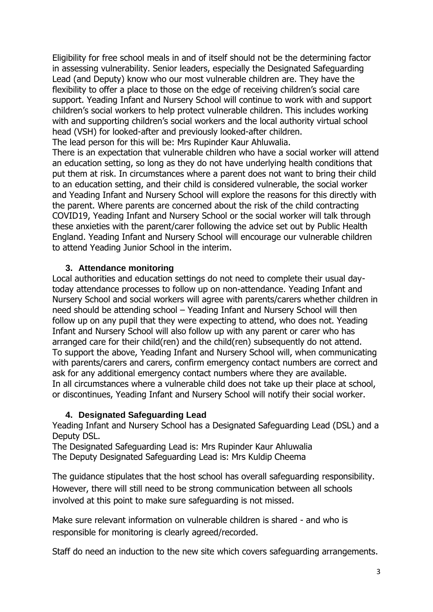Eligibility for free school meals in and of itself should not be the determining factor in assessing vulnerability. Senior leaders, especially the Designated Safeguarding Lead (and Deputy) know who our most vulnerable children are. They have the flexibility to offer a place to those on the edge of receiving children's social care support. Yeading Infant and Nursery School will continue to work with and support children's social workers to help protect vulnerable children. This includes working with and supporting children's social workers and the local authority virtual school head (VSH) for looked-after and previously looked-after children.

The lead person for this will be: Mrs Rupinder Kaur Ahluwalia.

There is an expectation that vulnerable children who have a social worker will attend an education setting, so long as they do not have underlying health conditions that put them at risk. In circumstances where a parent does not want to bring their child to an education setting, and their child is considered vulnerable, the social worker and Yeading Infant and Nursery School will explore the reasons for this directly with the parent. Where parents are concerned about the risk of the child contracting COVID19, Yeading Infant and Nursery School or the social worker will talk through these anxieties with the parent/carer following the advice set out by Public Health England. Yeading Infant and Nursery School will encourage our vulnerable children to attend Yeading Junior School in the interim.

#### **3. Attendance monitoring**

Local authorities and education settings do not need to complete their usual daytoday attendance processes to follow up on non-attendance. Yeading Infant and Nursery School and social workers will agree with parents/carers whether children in need should be attending school – Yeading Infant and Nursery School will then follow up on any pupil that they were expecting to attend, who does not. Yeading Infant and Nursery School will also follow up with any parent or carer who has arranged care for their child(ren) and the child(ren) subsequently do not attend. To support the above, Yeading Infant and Nursery School will, when communicating with parents/carers and carers, confirm emergency contact numbers are correct and ask for any additional emergency contact numbers where they are available. In all circumstances where a vulnerable child does not take up their place at school, or discontinues, Yeading Infant and Nursery School will notify their social worker.

## **4. Designated Safeguarding Lead**

Yeading Infant and Nursery School has a Designated Safeguarding Lead (DSL) and a Deputy DSL.

The Designated Safeguarding Lead is: Mrs Rupinder Kaur Ahluwalia The Deputy Designated Safeguarding Lead is: Mrs Kuldip Cheema

The guidance stipulates that the host school has overall safeguarding responsibility. However, there will still need to be strong communication between all schools involved at this point to make sure safeguarding is not missed.

Make sure relevant information on vulnerable children is shared - and who is responsible for monitoring is clearly agreed/recorded.

Staff do need an induction to the new site which covers safeguarding arrangements.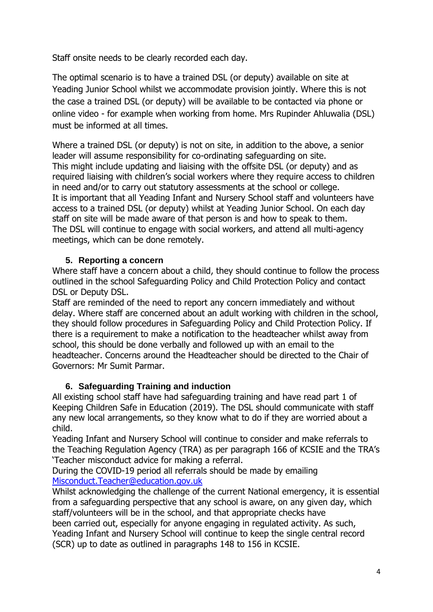Staff onsite needs to be clearly recorded each day.

The optimal scenario is to have a trained DSL (or deputy) available on site at Yeading Junior School whilst we accommodate provision jointly. Where this is not the case a trained DSL (or deputy) will be available to be contacted via phone or online video - for example when working from home. Mrs Rupinder Ahluwalia (DSL) must be informed at all times.

Where a trained DSL (or deputy) is not on site, in addition to the above, a senior leader will assume responsibility for co-ordinating safeguarding on site. This might include updating and liaising with the offsite DSL (or deputy) and as required liaising with children's social workers where they require access to children in need and/or to carry out statutory assessments at the school or college. It is important that all Yeading Infant and Nursery School staff and volunteers have access to a trained DSL (or deputy) whilst at Yeading Junior School. On each day staff on site will be made aware of that person is and how to speak to them. The DSL will continue to engage with social workers, and attend all multi-agency meetings, which can be done remotely.

## **5. Reporting a concern**

Where staff have a concern about a child, they should continue to follow the process outlined in the school Safeguarding Policy and Child Protection Policy and contact DSL or Deputy DSL.

Staff are reminded of the need to report any concern immediately and without delay. Where staff are concerned about an adult working with children in the school, they should follow procedures in Safeguarding Policy and Child Protection Policy. If there is a requirement to make a notification to the headteacher whilst away from school, this should be done verbally and followed up with an email to the headteacher. Concerns around the Headteacher should be directed to the Chair of Governors: Mr Sumit Parmar.

## **6. Safeguarding Training and induction**

All existing school staff have had safeguarding training and have read part 1 of Keeping Children Safe in Education (2019). The DSL should communicate with staff any new local arrangements, so they know what to do if they are worried about a child.

Yeading Infant and Nursery School will continue to consider and make referrals to the Teaching Regulation Agency (TRA) as per paragraph 166 of KCSIE and the TRA's 'Teacher misconduct advice for making a referral.

During the COVID-19 period all referrals should be made by emailing [Misconduct.Teacher@education.gov.uk](mailto:Misconduct.Teacher@education.gov.uk)

Whilst acknowledging the challenge of the current National emergency, it is essential from a safeguarding perspective that any school is aware, on any given day, which staff/volunteers will be in the school, and that appropriate checks have been carried out, especially for anyone engaging in regulated activity. As such, Yeading Infant and Nursery School will continue to keep the single central record (SCR) up to date as outlined in paragraphs 148 to 156 in KCSIE.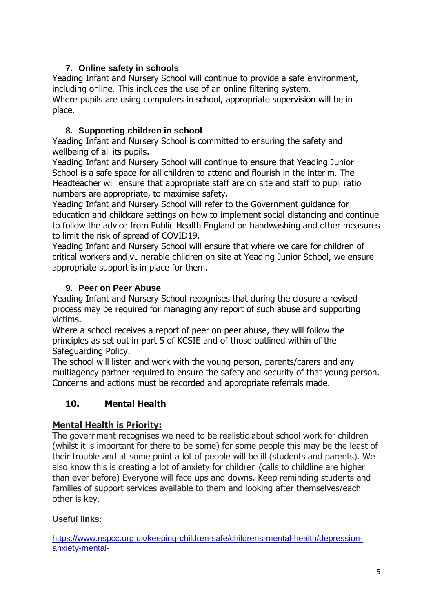# **7. Online safety in schools**

Yeading Infant and Nursery School will continue to provide a safe environment, including online. This includes the use of an online filtering system. Where pupils are using computers in school, appropriate supervision will be in place.

# **8. Supporting children in school**

Yeading Infant and Nursery School is committed to ensuring the safety and wellbeing of all its pupils.

Yeading Infant and Nursery School will continue to ensure that Yeading Junior School is a safe space for all children to attend and flourish in the interim. The Headteacher will ensure that appropriate staff are on site and staff to pupil ratio numbers are appropriate, to maximise safety.

Yeading Infant and Nursery School will refer to the Government guidance for education and childcare settings on how to implement social distancing and continue to follow the advice from Public Health England on handwashing and other measures to limit the risk of spread of COVID19.

Yeading Infant and Nursery School will ensure that where we care for children of critical workers and vulnerable children on site at Yeading Junior School, we ensure appropriate support is in place for them.

# **9. Peer on Peer Abuse**

Yeading Infant and Nursery School recognises that during the closure a revised process may be required for managing any report of such abuse and supporting victims**.**

Where a school receives a report of peer on peer abuse, they will follow the principles as set out in part 5 of KCSIE and of those outlined within of the Safeguarding Policy.

The school will listen and work with the young person, parents/carers and any multiagency partner required to ensure the safety and security of that young person. Concerns and actions must be recorded and appropriate referrals made.

# **10. Mental Health**

# **Mental Health is Priority:**

The government recognises we need to be realistic about school work for children (whilst it is important for there to be some) for some people this may be the least of their trouble and at some point a lot of people will be ill (students and parents). We also know this is creating a lot of anxiety for children (calls to childline are higher than ever before) Everyone will face ups and downs. Keep reminding students and families of support services available to them and looking after themselves/each other is key.

# **Useful links:**

[https://www.nspcc.org.uk/keeping-children-safe/childrens-mental-health/depression](https://www.nspcc.org.uk/keeping-children-safe/childrens-mental-health/depression-anxiety-mental-health/?utm_source=Adestra&utm_medium=email&utm_content=Talking%20to%20a%20child%20worried%20about%20coronavirus%20%28COVID-19%29&utm_campaign=CASPAR-2019-03-30)[anxiety-mental-](https://www.nspcc.org.uk/keeping-children-safe/childrens-mental-health/depression-anxiety-mental-health/?utm_source=Adestra&utm_medium=email&utm_content=Talking%20to%20a%20child%20worried%20about%20coronavirus%20%28COVID-19%29&utm_campaign=CASPAR-2019-03-30)